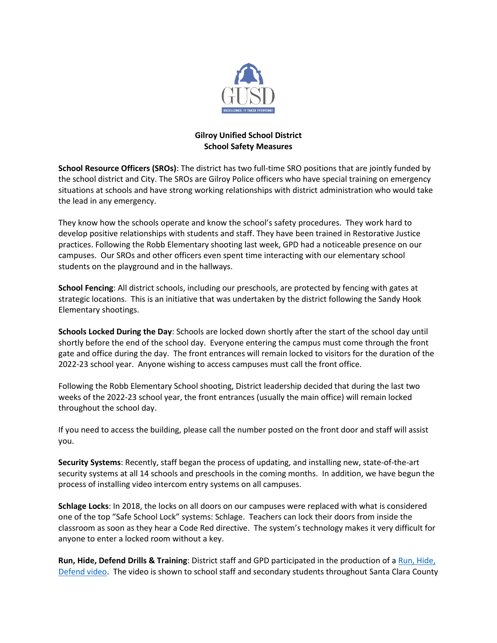

## **Gilroy Unified School District School Safety Measures**

**School Resource Officers (SROs)**: The district has two full-time SRO positions that are jointly funded by the school district and City. The SROs are Gilroy Police officers who have special training on emergency situations at schools and have strong working relationships with district administration who would take the lead in any emergency.

They know how the schools operate and know the school's safety procedures. They work hard to develop positive relationships with students and staff. They have been trained in Restorative Justice practices. Following the Robb Elementary shooting last week, GPD had a noticeable presence on our campuses. Our SROs and other officers even spent time interacting with our elementary school students on the playground and in the hallways.

**School Fencing**: All district schools, including our preschools, are protected by fencing with gates at strategic locations. This is an initiative that was undertaken by the district following the Sandy Hook Elementary shootings.

**Schools Locked During the Day**: Schools are locked down shortly after the start of the school day until shortly before the end of the school day. Everyone entering the campus must come through the front gate and office during the day. The front entrances will remain locked to visitors for the duration of the 2022-23 school year. Anyone wishing to access campuses must call the front office.

Following the Robb Elementary School shooting, District leadership decided that during the last two weeks of the 2022-23 school year, the front entrances (usually the main office) will remain locked throughout the school day.

If you need to access the building, please call the number posted on the front door and staff will assist you.

**Security Systems**: Recently, staff began the process of updating, and installing new, state-of-the-art security systems at all 14 schools and preschools in the coming months. In addition, we have begun the process of installing video intercom entry systems on all campuses.

**Schlage Locks**: In 2018, the locks on all doors on our campuses were replaced with what is considered one of the top "Safe School Lock" systems: Schlage. Teachers can lock their doors from inside the classroom as soon as they hear a Code Red directive. The system's technology makes it very difficult for anyone to enter a locked room without a key.

**Run, Hide, Defend Drills & Training**: District staff and GPD participated in the production of a [Run, Hide,](https://youtu.be/BOpwpW54CmE)  [Defend video.](https://youtu.be/BOpwpW54CmE) The video is shown to school staff and secondary students throughout Santa Clara County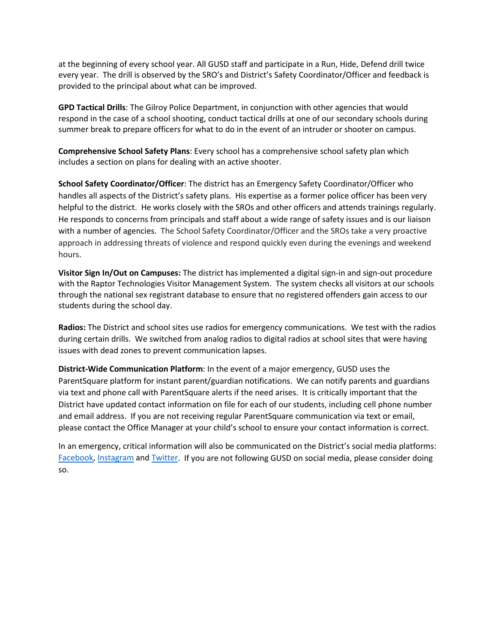at the beginning of every school year. All GUSD staff and participate in a Run, Hide, Defend drill twice every year. The drill is observed by the SRO's and District's Safety Coordinator/Officer and feedback is provided to the principal about what can be improved.

**GPD Tactical Drills**: The Gilroy Police Department, in conjunction with other agencies that would respond in the case of a school shooting, conduct tactical drills at one of our secondary schools during summer break to prepare officers for what to do in the event of an intruder or shooter on campus.

**Comprehensive School Safety Plans**: Every school has a comprehensive school safety plan which includes a section on plans for dealing with an active shooter.

**School Safety Coordinator/Officer**: The district has an Emergency Safety Coordinator/Officer who handles all aspects of the District's safety plans. His expertise as a former police officer has been very helpful to the district. He works closely with the SROs and other officers and attends trainings regularly. He responds to concerns from principals and staff about a wide range of safety issues and is our liaison with a number of agencies. The School Safety Coordinator/Officer and the SROs take a very proactive approach in addressing threats of violence and respond quickly even during the evenings and weekend hours.

**Visitor Sign In/Out on Campuses:** The district has implemented a digital sign-in and sign-out procedure with the Raptor Technologies Visitor Management System. The system checks all visitors at our schools through the national sex registrant database to ensure that no registered offenders gain access to our students during the school day.

**Radios:** The District and school sites use radios for emergency communications. We test with the radios during certain drills. We switched from analog radios to digital radios at school sites that were having issues with dead zones to prevent communication lapses.

**District-Wide Communication Platform**: In the event of a major emergency, GUSD uses the ParentSquare platform for instant parent/guardian notifications. We can notify parents and guardians via text and phone call with ParentSquare alerts if the need arises. It is critically important that the District have updated contact information on file for each of our students, including cell phone number and email address. If you are not receiving regular ParentSquare communication via text or email, please contact the Office Manager at your child's school to ensure your contact information is correct.

In an emergency, critical information will also be communicated on the District's social media platforms: [Facebook,](https://www.facebook.com/Gilroyunifiedschooldistrict) [Instagram](https://www.instagram.com/gilroy_usd/) an[d Twitter.](https://twitter.com/GilroyUsd) If you are not following GUSD on social media, please consider doing so.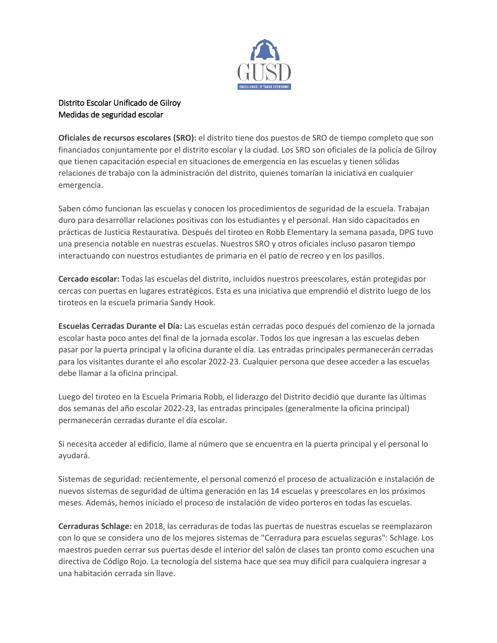

## Distrito Escolar Unificado de Gilroy Medidas de seguridad escolar

**Oficiales de recursos escolares (SRO):** el distrito tiene dos puestos de SRO de tiempo completo que son financiados conjuntamente por el distrito escolar y la ciudad. Los SRO son oficiales de la policía de Gilroy que tienen capacitación especial en situaciones de emergencia en las escuelas y tienen sólidas relaciones de trabajo con la administración del distrito, quienes tomarían la iniciativa en cualquier emergencia.

Saben cómo funcionan las escuelas y conocen los procedimientos de seguridad de la escuela. Trabajan duro para desarrollar relaciones positivas con los estudiantes y el personal. Han sido capacitados en prácticas de Justicia Restaurativa. Después del tiroteo en Robb Elementary la semana pasada, DPG tuvo una presencia notable en nuestras escuelas. Nuestros SRO y otros oficiales incluso pasaron tiempo interactuando con nuestros estudiantes de primaria en el patio de recreo y en los pasillos.

**Cercado escolar:** Todas las escuelas del distrito, incluidos nuestros preescolares, están protegidas por cercas con puertas en lugares estratégicos. Esta es una iniciativa que emprendió el distrito luego de los tiroteos en la escuela primaria Sandy Hook.

**Escuelas Cerradas Durante el Día:** Las escuelas están cerradas poco después del comienzo de la jornada escolar hasta poco antes del final de la jornada escolar. Todos los que ingresan a las escuelas deben pasar por la puerta principal y la oficina durante el día. Las entradas principales permanecerán cerradas para los visitantes durante el año escolar 2022-23. Cualquier persona que desee acceder a las escuelas debe llamar a la oficina principal.

Luego del tiroteo en la Escuela Primaria Robb, el liderazgo del Distrito decidió que durante las últimas dos semanas del año escolar 2022-23, las entradas principales (generalmente la oficina principal) permanecerán cerradas durante el día escolar.

Si necesita acceder al edificio, llame al número que se encuentra en la puerta principal y el personal lo ayudará.

Sistemas de seguridad: recientemente, el personal comenzó el proceso de actualización e instalación de nuevos sistemas de seguridad de última generación en las 14 escuelas y preescolares en los próximos meses. Además, hemos iniciado el proceso de instalación de video porteros en todas las escuelas.

**Cerraduras Schlage:** en 2018, las cerraduras de todas las puertas de nuestras escuelas se reemplazaron con lo que se considera uno de los mejores sistemas de "Cerradura para escuelas seguras": Schlage. Los maestros pueden cerrar sus puertas desde el interior del salón de clases tan pronto como escuchen una directiva de Código Rojo. La tecnología del sistema hace que sea muy difícil para cualquiera ingresar a una habitación cerrada sin llave.